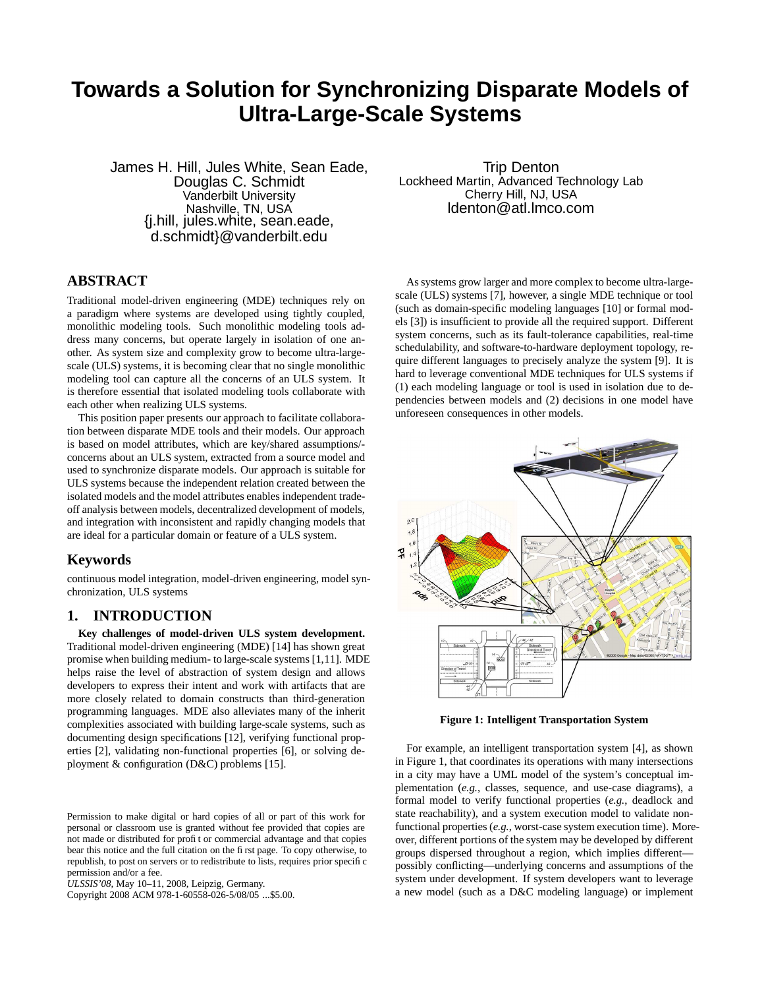# **Towards a Solution for Synchronizing Disparate Models of Ultra-Large-Scale Systems**

James H. Hill, Jules White, Sean Eade, Douglas C. Schmidt Vanderbilt University Nashville, TN, USA {j.hill, jules.white, sean.eade, d.schmidt}@vanderbilt.edu

# **ABSTRACT**

Traditional model-driven engineering (MDE) techniques rely on a paradigm where systems are developed using tightly coupled, monolithic modeling tools. Such monolithic modeling tools address many concerns, but operate largely in isolation of one another. As system size and complexity grow to become ultra-largescale (ULS) systems, it is becoming clear that no single monolithic modeling tool can capture all the concerns of an ULS system. It is therefore essential that isolated modeling tools collaborate with each other when realizing ULS systems.

This position paper presents our approach to facilitate collaboration between disparate MDE tools and their models. Our approach is based on model attributes, which are key/shared assumptions/ concerns about an ULS system, extracted from a source model and used to synchronize disparate models. Our approach is suitable for ULS systems because the independent relation created between the isolated models and the model attributes enables independent tradeoff analysis between models, decentralized development of models, and integration with inconsistent and rapidly changing models that are ideal for a particular domain or feature of a ULS system.

#### **Keywords**

continuous model integration, model-driven engineering, model synchronization, ULS systems

# **1. INTRODUCTION**

**Key challenges of model-driven ULS system development.** Traditional model-driven engineering (MDE) [14] has shown great promise when building medium- to large-scale systems [1,11]. MDE helps raise the level of abstraction of system design and allows developers to express their intent and work with artifacts that are more closely related to domain constructs than third-generation programming languages. MDE also alleviates many of the inherit complexities associated with building large-scale systems, such as documenting design specifications [12], verifying functional properties [2], validating non-functional properties [6], or solving deployment & configuration (D&C) problems [15].

Permission to make digital or hard copies of all or part of this work for personal or classroom use is granted without fee provided that copies are not made or distributed for profit or commercial advantage and that copies bear this notice and the full citation on the first page. To copy otherwise, to republish, to post on servers or to redistribute to lists, requires prior specific permission and/or a fee.

*ULSSIS'08,* May 10–11, 2008, Leipzig, Germany.

Copyright 2008 ACM 978-1-60558-026-5/08/05 ...\$5.00.

Trip Denton Lockheed Martin, Advanced Technology Lab Cherry Hill, NJ, USA ldenton@atl.lmco.com

Assystems grow larger and more complex to become ultra-largescale (ULS) systems [7], however, a single MDE technique or tool (such as domain-specific modeling languages [10] or formal models [3]) is insufficient to provide all the required support. Different system concerns, such as its fault-tolerance capabilities, real-time schedulability, and software-to-hardware deployment topology, require different languages to precisely analyze the system [9]. It is hard to leverage conventional MDE techniques for ULS systems if (1) each modeling language or tool is used in isolation due to dependencies between models and (2) decisions in one model have unforeseen consequences in other models.



**Figure 1: Intelligent Transportation System**

For example, an intelligent transportation system [4], as shown in Figure 1, that coordinates its operations with many intersections in a city may have a UML model of the system's conceptual implementation (*e.g.*, classes, sequence, and use-case diagrams), a formal model to verify functional properties (*e.g.*, deadlock and state reachability), and a system execution model to validate nonfunctional properties (*e.g.*, worst-case system execution time). Moreover, different portions of the system may be developed by different groups dispersed throughout a region, which implies different possibly conflicting—underlying concerns and assumptions of the system under development. If system developers want to leverage a new model (such as a D&C modeling language) or implement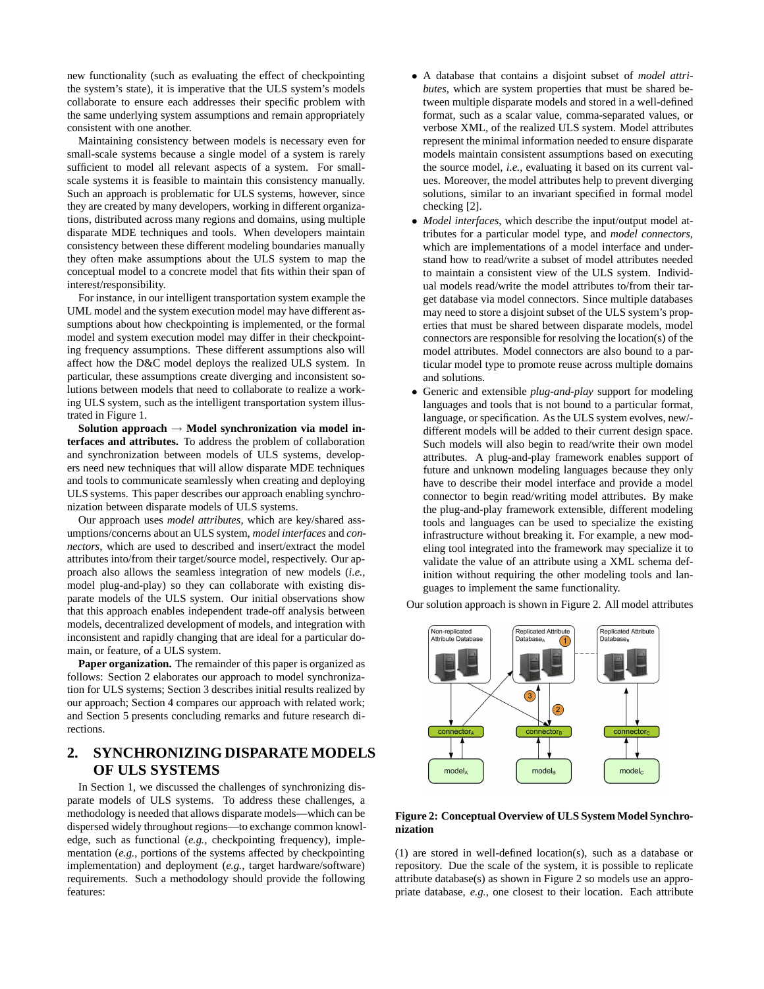new functionality (such as evaluating the effect of checkpointing the system's state), it is imperative that the ULS system's models collaborate to ensure each addresses their specific problem with the same underlying system assumptions and remain appropriately consistent with one another.

Maintaining consistency between models is necessary even for small-scale systems because a single model of a system is rarely sufficient to model all relevant aspects of a system. For smallscale systems it is feasible to maintain this consistency manually. Such an approach is problematic for ULS systems, however, since they are created by many developers, working in different organizations, distributed across many regions and domains, using multiple disparate MDE techniques and tools. When developers maintain consistency between these different modeling boundaries manually they often make assumptions about the ULS system to map the conceptual model to a concrete model that fits within their span of interest/responsibility.

For instance, in our intelligent transportation system example the UML model and the system execution model may have different assumptions about how checkpointing is implemented, or the formal model and system execution model may differ in their checkpointing frequency assumptions. These different assumptions also will affect how the D&C model deploys the realized ULS system. In particular, these assumptions create diverging and inconsistent solutions between models that need to collaborate to realize a working ULS system, such as the intelligent transportation system illustrated in Figure 1.

**Solution approach** → **Model synchronization via model interfaces and attributes.** To address the problem of collaboration and synchronization between models of ULS systems, developers need new techniques that will allow disparate MDE techniques and tools to communicate seamlessly when creating and deploying ULS systems. This paper describes our approach enabling synchronization between disparate models of ULS systems.

Our approach uses *model attributes*, which are key/shared assumptions/concerns about an ULS system, *model interfaces* and *connectors*, which are used to described and insert/extract the model attributes into/from their target/source model, respectively. Our approach also allows the seamless integration of new models (*i.e.*, model plug-and-play) so they can collaborate with existing disparate models of the ULS system. Our initial observations show that this approach enables independent trade-off analysis between models, decentralized development of models, and integration with inconsistent and rapidly changing that are ideal for a particular domain, or feature, of a ULS system.

**Paper organization.** The remainder of this paper is organized as follows: Section 2 elaborates our approach to model synchronization for ULS systems; Section 3 describes initial results realized by our approach; Section 4 compares our approach with related work; and Section 5 presents concluding remarks and future research directions.

# **2. SYNCHRONIZING DISPARATE MODELS OF ULS SYSTEMS**

In Section 1, we discussed the challenges of synchronizing disparate models of ULS systems. To address these challenges, a methodology is needed that allows disparate models—which can be dispersed widely throughout regions—to exchange common knowledge, such as functional (*e.g.*, checkpointing frequency), implementation (*e.g.*, portions of the systems affected by checkpointing implementation) and deployment (*e.g.*, target hardware/software) requirements. Such a methodology should provide the following features:

- A database that contains a disjoint subset of *model attributes*, which are system properties that must be shared between multiple disparate models and stored in a well-defined format, such as a scalar value, comma-separated values, or verbose XML, of the realized ULS system. Model attributes represent the minimal information needed to ensure disparate models maintain consistent assumptions based on executing the source model, *i.e.*, evaluating it based on its current values. Moreover, the model attributes help to prevent diverging solutions, similar to an invariant specified in formal model checking [2].
- *Model interfaces*, which describe the input/output model attributes for a particular model type, and *model connectors*, which are implementations of a model interface and understand how to read/write a subset of model attributes needed to maintain a consistent view of the ULS system. Individual models read/write the model attributes to/from their target database via model connectors. Since multiple databases may need to store a disjoint subset of the ULS system's properties that must be shared between disparate models, model connectors are responsible for resolving the location(s) of the model attributes. Model connectors are also bound to a particular model type to promote reuse across multiple domains and solutions.
- Generic and extensible *plug-and-play* support for modeling languages and tools that is not bound to a particular format, language, or specification. As the ULS system evolves, new/different models will be added to their current design space. Such models will also begin to read/write their own model attributes. A plug-and-play framework enables support of future and unknown modeling languages because they only have to describe their model interface and provide a model connector to begin read/writing model attributes. By make the plug-and-play framework extensible, different modeling tools and languages can be used to specialize the existing infrastructure without breaking it. For example, a new modeling tool integrated into the framework may specialize it to validate the value of an attribute using a XML schema definition without requiring the other modeling tools and languages to implement the same functionality.



Our solution approach is shown in Figure 2. All model attributes

#### **Figure 2: Conceptual Overview of ULS System Model Synchronization**

(1) are stored in well-defined location(s), such as a database or repository. Due the scale of the system, it is possible to replicate attribute database(s) as shown in Figure 2 so models use an appropriate database, *e.g.*, one closest to their location. Each attribute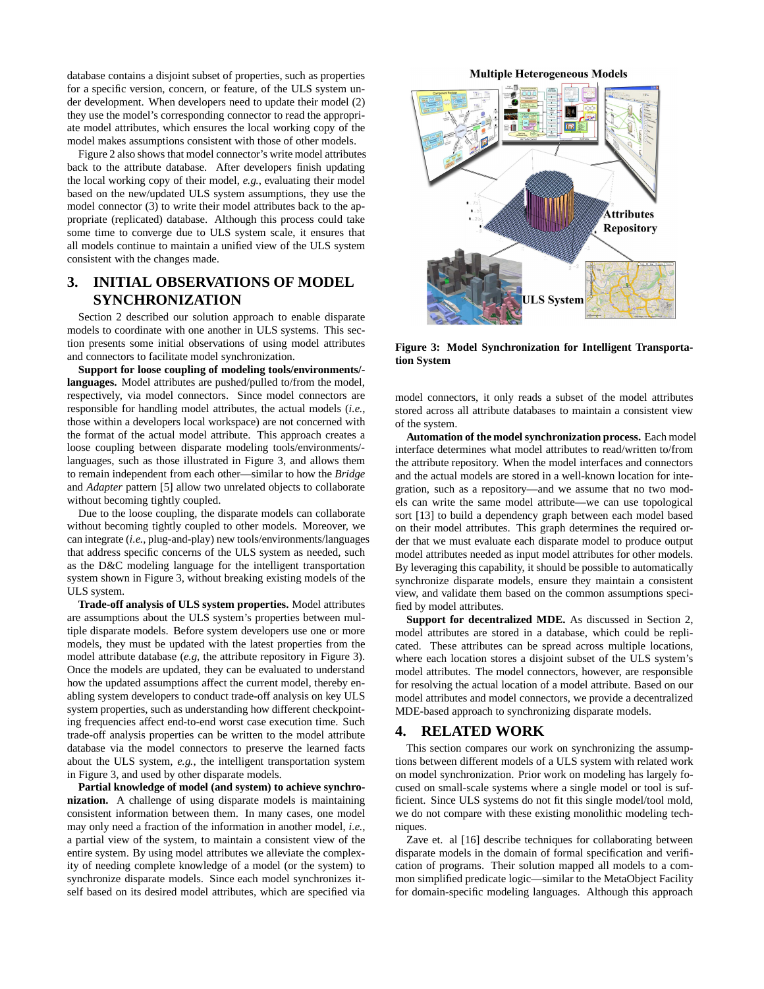database contains a disjoint subset of properties, such as properties for a specific version, concern, or feature, of the ULS system under development. When developers need to update their model (2) they use the model's corresponding connector to read the appropriate model attributes, which ensures the local working copy of the model makes assumptions consistent with those of other models.

Figure 2 also shows that model connector's write model attributes back to the attribute database. After developers finish updating the local working copy of their model, *e.g.*, evaluating their model based on the new/updated ULS system assumptions, they use the model connector (3) to write their model attributes back to the appropriate (replicated) database. Although this process could take some time to converge due to ULS system scale, it ensures that all models continue to maintain a unified view of the ULS system consistent with the changes made.

# **3. INITIAL OBSERVATIONS OF MODEL SYNCHRONIZATION**

Section 2 described our solution approach to enable disparate models to coordinate with one another in ULS systems. This section presents some initial observations of using model attributes and connectors to facilitate model synchronization.

**Support for loose coupling of modeling tools/environments/ languages.** Model attributes are pushed/pulled to/from the model, respectively, via model connectors. Since model connectors are responsible for handling model attributes, the actual models (*i.e.*, those within a developers local workspace) are not concerned with the format of the actual model attribute. This approach creates a loose coupling between disparate modeling tools/environments/ languages, such as those illustrated in Figure 3, and allows them to remain independent from each other—similar to how the *Bridge* and *Adapter* pattern [5] allow two unrelated objects to collaborate without becoming tightly coupled.

Due to the loose coupling, the disparate models can collaborate without becoming tightly coupled to other models. Moreover, we can integrate (*i.e.*, plug-and-play) new tools/environments/languages that address specific concerns of the ULS system as needed, such as the D&C modeling language for the intelligent transportation system shown in Figure 3, without breaking existing models of the ULS system.

**Trade-off analysis of ULS system properties.** Model attributes are assumptions about the ULS system's properties between multiple disparate models. Before system developers use one or more models, they must be updated with the latest properties from the model attribute database (*e.g*, the attribute repository in Figure 3). Once the models are updated, they can be evaluated to understand how the updated assumptions affect the current model, thereby enabling system developers to conduct trade-off analysis on key ULS system properties, such as understanding how different checkpointing frequencies affect end-to-end worst case execution time. Such trade-off analysis properties can be written to the model attribute database via the model connectors to preserve the learned facts about the ULS system, *e.g.*, the intelligent transportation system in Figure 3, and used by other disparate models.

**Partial knowledge of model (and system) to achieve synchronization.** A challenge of using disparate models is maintaining consistent information between them. In many cases, one model may only need a fraction of the information in another model, *i.e.*, a partial view of the system, to maintain a consistent view of the entire system. By using model attributes we alleviate the complexity of needing complete knowledge of a model (or the system) to synchronize disparate models. Since each model synchronizes itself based on its desired model attributes, which are specified via

**Multiple Heterogeneous Models** 



**Figure 3: Model Synchronization for Intelligent Transportation System**

model connectors, it only reads a subset of the model attributes stored across all attribute databases to maintain a consistent view of the system.

**Automation of the model synchronization process.** Each model interface determines what model attributes to read/written to/from the attribute repository. When the model interfaces and connectors and the actual models are stored in a well-known location for integration, such as a repository—and we assume that no two models can write the same model attribute—we can use topological sort [13] to build a dependency graph between each model based on their model attributes. This graph determines the required order that we must evaluate each disparate model to produce output model attributes needed as input model attributes for other models. By leveraging this capability, it should be possible to automatically synchronize disparate models, ensure they maintain a consistent view, and validate them based on the common assumptions specified by model attributes.

**Support for decentralized MDE.** As discussed in Section 2, model attributes are stored in a database, which could be replicated. These attributes can be spread across multiple locations, where each location stores a disjoint subset of the ULS system's model attributes. The model connectors, however, are responsible for resolving the actual location of a model attribute. Based on our model attributes and model connectors, we provide a decentralized MDE-based approach to synchronizing disparate models.

#### **4. RELATED WORK**

This section compares our work on synchronizing the assumptions between different models of a ULS system with related work on model synchronization. Prior work on modeling has largely focused on small-scale systems where a single model or tool is sufficient. Since ULS systems do not fit this single model/tool mold, we do not compare with these existing monolithic modeling techniques.

Zave et. al [16] describe techniques for collaborating between disparate models in the domain of formal specification and verification of programs. Their solution mapped all models to a common simplified predicate logic—similar to the MetaObject Facility for domain-specific modeling languages. Although this approach